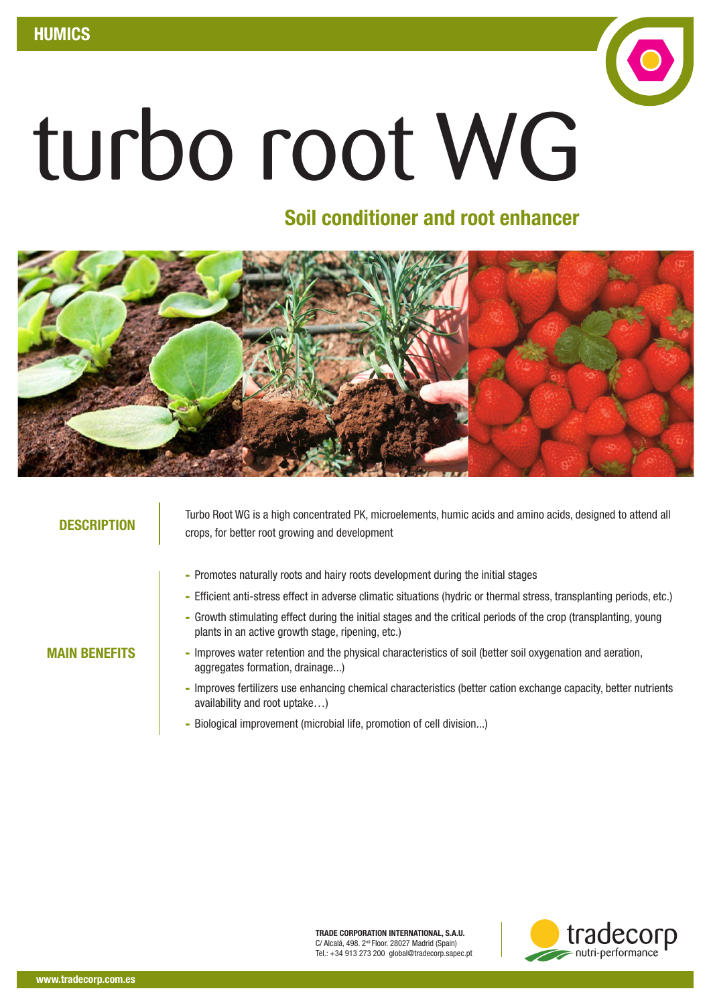

## Soil conditioner and root enhancer



MAIN BENEFITS

Turbo Root WG is a high concentrated PK, microelements, humic acids and amino acids, designed to attend all **DESCRIPTION** crops, for better root growing and development

- Promotes naturally roots and hairy roots development during the initial stages
- Efficient anti-stress effect in adverse climatic situations (hydric or thermal stress, transplanting periods, etc.)
- Growth stimulating effect during the initial stages and the critical periods of the crop (transplanting, young plants in an active growth stage, ripening, etc.)
- Improves water retention and the physical characteristics of soil (better soil oxygenation and aeration, aggregates formation, drainage...)
- Improves fertilizers use enhancing chemical characteristics (better cation exchange capacity, better nutrients availability and root uptake…)
- Biological improvement (microbial life, promotion of cell division...)

TRADE CORPORATION INTERNATIONAL, S.A.U. C/ Alcalá, 498. 2nd Floor. 28027 Madrid (Spain) Tel.: +34 913 273 200 global@tradecorp.sapec.pt